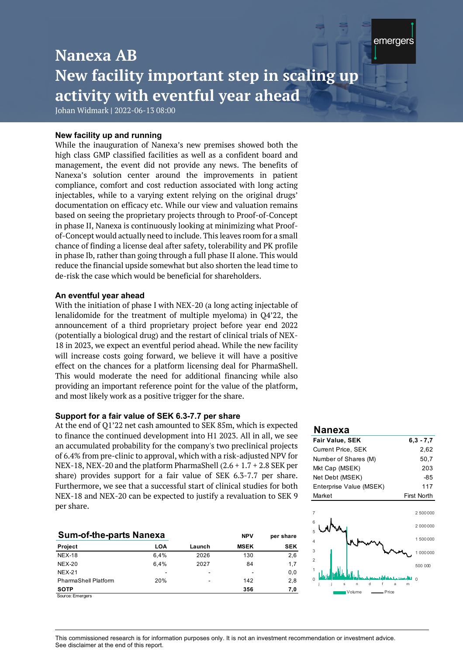# **Nanexa AB New facility important step in scaling up activity with eventful year ahead**

*<u>Research</u>* 

Nanexa AB

emergers

Johan Widmark **|** 2022-06-13 08:00

### **New facility up and running**

While the inauguration of Nanexa's new premises showed both the high class GMP classified facilities as well as a confident board and management, the event did not provide any news. The benefits of Nanexa's solution center around the improvements in patient compliance, comfort and cost reduction associated with long acting injectables, while to a varying extent relying on the original drugs' documentation on efficacy etc. While our view and valuation remains based on seeing the proprietary projects through to Proof-of-Concept in phase II, Nanexa is continuously looking at minimizing what Proofof-Concept would actually need to include. This leaves room for a small chance of finding a license deal after safety, tolerability and PK profile in phase Ib, rather than going through a full phase II alone. This would reduce the financial upside somewhat but also shorten the lead time to de-risk the case which would be beneficial for shareholders.

#### **An eventful year ahead**

With the initiation of phase I with NEX-20 (a long acting injectable of lenalidomide for the treatment of multiple myeloma) in Q4'22, the announcement of a third proprietary project before year end 2022 (potentially a biological drug) and the restart of clinical trials of NEX-18 in 2023, we expect an eventful period ahead. While the new facility will increase costs going forward, we believe it will have a positive effect on the chances for a platform licensing deal for PharmaShell. This would moderate the need for additional financing while also providing an important reference point for the value of the platform, and most likely work as a positive trigger for the share.

### **Support for a fair value of SEK 6.3-7.7 per share**

At the end of Q1'22 net cash amounted to SEK 85m, which is expected to finance the continued development into H1 2023. All in all, we see an accumulated probability for the company's two preclinical projects of 6.4% from pre-clinic to approval, which with a risk-adjusted NPV for NEX-18, NEX-20 and the platform PharmaShell (2.6 + 1.7 + 2.8 SEK per share) provides support for a fair value of SEK 6.3-7.7 per share. Furthermore, we see that a successful start of clinical studies for both NEX-18 and NEX-20 can be expected to justify a revaluation to SEK 9 per share.

| <b>Sum-of-the-parts Nanexa</b> |      | <b>NPV</b> | per share   |            |
|--------------------------------|------|------------|-------------|------------|
| Project                        | LOA  | Launch     | <b>MSEK</b> | <b>SEK</b> |
| <b>NEX-18</b>                  | 6,4% | 2026       | 130         | 2,6        |
| $NEX-20$                       | 6.4% | 2027       | 84          | 1.7        |
| <b>NEX-21</b>                  |      | -          |             | 0.0        |
| <b>PharmaShell Platform</b>    | 20%  | -          | 142         | 2.8        |
| <b>SOTP</b>                    |      |            | 356         | 7,0        |
| Source: Emergers               |      |            |             |            |

#### **Nanexa**

| <b>Fair Value, SEK</b>    | $6,3 - 7,7$        |
|---------------------------|--------------------|
| <b>Current Price, SEK</b> | 2.62               |
| Number of Shares (M)      | 50,7               |
| Mkt Cap (MSEK)            | 203                |
| Net Debt (MSEK)           | -85                |
| Enterprise Value (MSEK)   | 117                |
| Market                    | <b>First North</b> |



This commissioned research is for information purposes or<br>See disclaimer at the end of this report. This commissioned research is for information purposes only. It is not an investment recommendation or investment advice.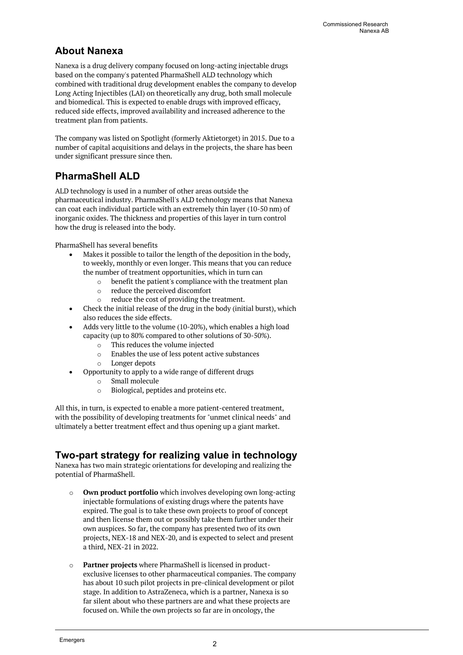# **About Nanexa**

Nanexa is a drug delivery company focused on long-acting injectable drugs based on the company's patented PharmaShell ALD technology which combined with traditional drug development enables the company to develop Long Acting Injectibles (LAI) on theoretically any drug, both small molecule and biomedical. This is expected to enable drugs with improved efficacy, reduced side effects, improved availability and increased adherence to the treatment plan from patients.

The company was listed on Spotlight (formerly Aktietorget) in 2015. Due to a number of capital acquisitions and delays in the projects, the share has been under significant pressure since then.

# **PharmaShell ALD**

ALD technology is used in a number of other areas outside the pharmaceutical industry. PharmaShell's ALD technology means that Nanexa can coat each individual particle with an extremely thin layer (10-50 nm) of inorganic oxides. The thickness and properties of this layer in turn control how the drug is released into the body.

PharmaShell has several benefits

- Makes it possible to tailor the length of the deposition in the body, to weekly, monthly or even longer. This means that you can reduce the number of treatment opportunities, which in turn can
	- o benefit the patient's compliance with the treatment plan
	- o reduce the perceived discomfort
	- o reduce the cost of providing the treatment.
- Check the initial release of the drug in the body (initial burst), which also reduces the side effects.
- Adds very little to the volume (10-20%), which enables a high load capacity (up to 80% compared to other solutions of 30-50%).
	- o This reduces the volume injected
	- o Enables the use of less potent active substances
	- o Longer depots
- Opportunity to apply to a wide range of different drugs
	- o Small molecule
	- o Biological, peptides and proteins etc.

All this, in turn, is expected to enable a more patient-centered treatment, with the possibility of developing treatments for "unmet clinical needs" and ultimately a better treatment effect and thus opening up a giant market.

### **Two-part strategy for realizing value in technology**

Nanexa has two main strategic orientations for developing and realizing the potential of PharmaShell.

- o **Own product portfolio** which involves developing own long-acting injectable formulations of existing drugs where the patents have expired. The goal is to take these own projects to proof of concept and then license them out or possibly take them further under their own auspices. So far, the company has presented two of its own projects, NEX-18 and NEX-20, and is expected to select and present a third, NEX-21 in 2022.
- o **Partner projects** where PharmaShell is licensed in productexclusive licenses to other pharmaceutical companies. The company has about 10 such pilot projects in pre-clinical development or pilot stage. In addition to AstraZeneca, which is a partner, Nanexa is so far silent about who these partners are and what these projects are focused on. While the own projects so far are in oncology, the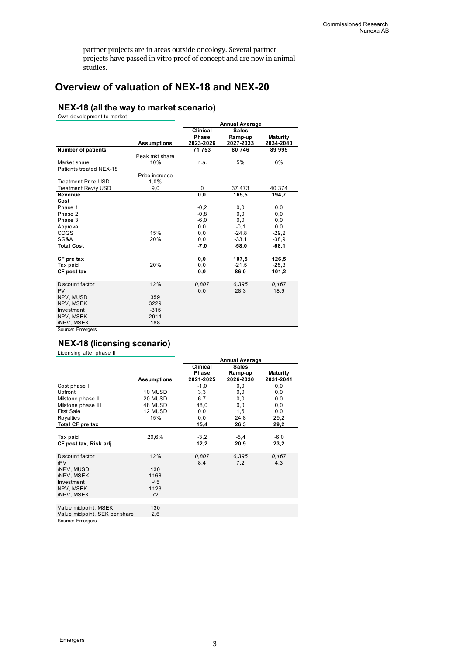partner projects are in areas outside oncology. Several partner projects have passed in vitro proof of concept and are now in animal studies.

## **Overview of valuation of NEX-18 and NEX-20**

### **NEX-18 (all the way to market scenario)**

Own development to market

|                            |                    | <b>Annual Average</b> |              |                 |  |  |
|----------------------------|--------------------|-----------------------|--------------|-----------------|--|--|
|                            |                    | Clinical              | <b>Sales</b> |                 |  |  |
|                            |                    | <b>Phase</b>          | Ramp-up      | <b>Maturity</b> |  |  |
|                            | <b>Assumptions</b> | 2023-2026             | 2027-2033    | 2034-2040       |  |  |
| <b>Number of patients</b>  |                    | 71 753                | 80 746       | 89 995          |  |  |
|                            | Peak mkt share     |                       |              |                 |  |  |
| Market share               | 10%                | n.a.                  | 5%           | 6%              |  |  |
| Patients treated NEX-18    |                    |                       |              |                 |  |  |
|                            | Price increase     |                       |              |                 |  |  |
| <b>Treatment Price USD</b> | 1.0%               |                       |              |                 |  |  |
| Treatment Rev/y USD        | 9,0                | 0                     | 37 473       | 40 374          |  |  |
| Revenue                    |                    | 0,0                   | 165.5        | 194,7           |  |  |
| Cost                       |                    |                       |              |                 |  |  |
| Phase 1                    |                    | $-0,2$                | 0,0          | 0,0             |  |  |
| Phase 2                    |                    | $-0, 8$               | 0,0          | 0,0             |  |  |
| Phase 3                    |                    | $-6,0$                | 0,0          | 0,0             |  |  |
| Approval                   |                    | 0,0                   | $-0,1$       | 0,0             |  |  |
| <b>COGS</b>                | 15%                | 0,0                   | $-24,8$      | $-29,2$         |  |  |
| SG&A                       | 20%                | 0, 0                  | $-33,1$      | $-38,9$         |  |  |
| <b>Total Cost</b>          |                    | $-7,0$                | $-58,0$      | $-68,1$         |  |  |
|                            |                    |                       |              |                 |  |  |
| CF pre tax                 |                    | 0,0                   | 107,5        | 126,5           |  |  |
| Tax paid                   | 20%                | 0,0                   | $-21,5$      | $-25,3$         |  |  |
| CF post tax                |                    | 0,0                   | 86,0         | 101,2           |  |  |
|                            |                    |                       |              |                 |  |  |
| Discount factor            | 12%                | 0.807                 | 0.395        | 0.167           |  |  |
| PV                         |                    | 0,0                   | 28,3         | 18,9            |  |  |
| NPV, MUSD                  | 359                |                       |              |                 |  |  |
| NPV, MSEK                  | 3229               |                       |              |                 |  |  |
| Investment                 | $-315$             |                       |              |                 |  |  |
| NPV, MSEK                  | 2914               |                       |              |                 |  |  |
| rNPV, MSEK                 | 188                |                       |              |                 |  |  |

Source: Emergers

### **NEX-18 (licensing scenario)**

Licensing after phase II

|                               |                    | <b>Annual Average</b> |              |                 |  |
|-------------------------------|--------------------|-----------------------|--------------|-----------------|--|
|                               |                    | Clinical              | <b>Sales</b> |                 |  |
|                               |                    | Phase                 | Ramp-up      | <b>Maturity</b> |  |
|                               | <b>Assumptions</b> | 2021-2025             | 2026-2030    | 2031-2041       |  |
| Cost phase I                  |                    | $-1,0$                | 0,0          | 0,0             |  |
| Upfront                       | 10 MUSD            | 3,3                   | 0,0          | 0,0             |  |
| Milstone phase II             | 20 MUSD            | 6,7                   | 0,0          | 0,0             |  |
| Milstone phase III            | 48 MUSD            | 48,0                  | 0,0          | 0,0             |  |
| <b>First Sale</b>             | 12 MUSD            | 0, 0                  | 1,5          | 0,0             |  |
| Royalties                     | 15%                | 0,0                   | 24,8         | 29,2            |  |
| Total CF pre tax              |                    | 15,4                  | 26,3         | 29,2            |  |
|                               |                    |                       |              |                 |  |
| Tax paid                      | 20,6%              | $-3,2$                | $-5,4$       | $-6,0$          |  |
| CF post tax, Risk adj.        |                    | 12,2                  | 20,9         | 23,2            |  |
|                               |                    |                       |              |                 |  |
| Discount factor               | 12%                | 0.807                 | 0.395        | 0.167           |  |
| rPV                           |                    | 8,4                   | 7,2          | 4,3             |  |
| rNPV, MUSD                    | 130                |                       |              |                 |  |
| rNPV, MSEK                    | 1168               |                       |              |                 |  |
| Investment                    | $-45$              |                       |              |                 |  |
| NPV, MSEK                     | 1123               |                       |              |                 |  |
| rNPV. MSEK                    | 72                 |                       |              |                 |  |
|                               |                    |                       |              |                 |  |
| Value midpoint, MSEK          | 130                |                       |              |                 |  |
| Value midpoint, SEK per share | 2,6                |                       |              |                 |  |

Source: Emergers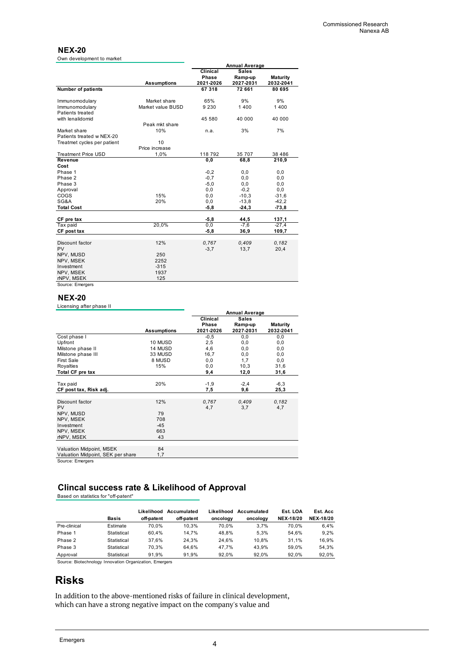#### **NEX-20**

Own development to market

|                             |                    | <b>Annual Average</b> |                                     |                 |  |
|-----------------------------|--------------------|-----------------------|-------------------------------------|-----------------|--|
|                             |                    | Clinical              | <b>Sales</b>                        |                 |  |
|                             |                    | Phase                 | Ramp-up                             | <b>Maturity</b> |  |
|                             | <b>Assumptions</b> |                       | 2021-2026<br>2027-2031<br>2032-2041 |                 |  |
| Number of patients          |                    | 67 318                | 72 661                              | 80 695          |  |
|                             |                    |                       |                                     |                 |  |
| Immunomodulary              | Market share       | 65%                   | 9%                                  | 9%              |  |
| Immunomodulary              | Market value BUSD  | 9 2 3 0               | 1400                                | 1400            |  |
| Patients treated            |                    |                       |                                     |                 |  |
| with lenalidomid            |                    | 45 580                | 40 000                              | 40 000          |  |
|                             | Peak mkt share     |                       |                                     |                 |  |
| Market share                | 10%                | n.a.                  | 3%                                  | 7%              |  |
| Patients treated w NEX-20   |                    |                       |                                     |                 |  |
| Treatmet cycles per patient | 10                 |                       |                                     |                 |  |
|                             | Price increase     |                       |                                     |                 |  |
| <b>Treatment Price USD</b>  | 1,0%               | 118 792               | 35 707                              | 38 4 8 6        |  |
| Revenue                     |                    | 0, 0                  | 68,8                                | 210,9           |  |
| Cost                        |                    |                       |                                     |                 |  |
| Phase 1                     |                    | $-0,2$                | 0,0                                 | 0, 0            |  |
| Phase 2                     |                    | $-0,7$                | 0,0                                 | 0, 0            |  |
| Phase 3                     |                    | $-5,0$                | 0, 0                                | 0, 0            |  |
| Approval                    |                    | 0, 0                  | $-0,2$                              | 0, 0            |  |
| COGS                        | 15%                | 0, 0                  | $-10,3$                             | $-31,6$         |  |
| SG&A                        | 20%                | 0, 0                  | $-13,8$                             | $-42,2$         |  |
| <b>Total Cost</b>           |                    | $-5,8$                | $-24,3$                             | $-73,8$         |  |
|                             |                    |                       |                                     |                 |  |
| CF pre tax                  |                    | $-5,8$                | 44,5                                | 137,1           |  |
| Tax paid                    | 20,0%              | 0.0                   | $-7,6$                              | $-27,4$         |  |
| CF post tax                 |                    | $-5,8$                | 36,9                                | 109,7           |  |
| Discount factor             | 12%                | 0.767                 | 0.409                               | 0.182           |  |
| PV                          |                    | $-3,7$                | 13,7                                | 20,4            |  |
| NPV, MUSD                   | 250                |                       |                                     |                 |  |
| NPV, MSEK                   | 2252               |                       |                                     |                 |  |
| Investment                  | $-315$             |                       |                                     |                 |  |
| NPV, MSEK                   | 1937               |                       |                                     |                 |  |
| rNPV, MSEK                  | 125                |                       |                                     |                 |  |
| Source: Emergers            |                    |                       |                                     |                 |  |
|                             |                    |                       |                                     |                 |  |

#### **NEX-20**

Licensing after phase II

|                                   |                    | <b>Annual Average</b> |              |                 |  |
|-----------------------------------|--------------------|-----------------------|--------------|-----------------|--|
|                                   |                    | Clinical              | <b>Sales</b> |                 |  |
|                                   |                    | Phase                 | Ramp-up      | <b>Maturity</b> |  |
|                                   | <b>Assumptions</b> | 2021-2026             | 2027-2031    | 2032-2041       |  |
| Cost phase I                      |                    | $-0,5$                | 0, 0         | 0, 0            |  |
| Upfront                           | 10 MUSD            | 2,5                   | 0, 0         | 0, 0            |  |
| Milstone phase II                 | 14 MUSD            | 4,6                   | 0, 0         | 0,0             |  |
| Milstone phase III                | 33 MUSD            | 16,7                  | 0,0          | 0,0             |  |
| <b>First Sale</b>                 | 8 MUSD             | 0, 0                  | 1,7          | 0, 0            |  |
| Royalties                         | 15%                | 0, 0                  | 10,3         | 31,6            |  |
| Total CF pre tax                  |                    | 9,4                   | 12,0         | 31,6            |  |
|                                   |                    |                       |              |                 |  |
| Tax paid                          | 20%                | $-1,9$                | $-2,4$       | $-6,3$          |  |
| CF post tax, Risk adj.            |                    | 7,5                   | 9,6          | 25,3            |  |
|                                   |                    |                       |              |                 |  |
| Discount factor                   | 12%                | 0,767                 | 0,409        | 0,182           |  |
| <b>PV</b>                         |                    | 4,7                   | 3,7          | 4,7             |  |
| NPV, MUSD                         | 79                 |                       |              |                 |  |
| NPV, MSEK                         | 708                |                       |              |                 |  |
| Investment                        | $-45$              |                       |              |                 |  |
| NPV, MSEK                         | 663                |                       |              |                 |  |
| rNPV, MSEK                        | 43                 |                       |              |                 |  |
|                                   |                    |                       |              |                 |  |
| Valuation Midpoint, MSEK          | 84                 |                       |              |                 |  |
| Valuation Midpoint, SEK per share | 1,7                |                       |              |                 |  |
| Source: Emergers                  |                    |                       |              |                 |  |

Source: Emergers

### **Clincal success rate & Likelihood of Approval**

Based on statistics for "off-patent"

|              |              | Likelihood | Accumulated | Likelihood | Accumulated | Est. LOA         | Est. Acc         |
|--------------|--------------|------------|-------------|------------|-------------|------------------|------------------|
|              | <b>Basis</b> | off-patent | off-patent  | oncology   | oncology    | <b>NEX-18/20</b> | <b>NEX-18/20</b> |
| Pre-clinical | Estimate     | 70.0%      | 10.3%       | 70.0%      | 3.7%        | 70.0%            | 6.4%             |
| Phase 1      | Statistical  | 60.4%      | 14.7%       | 48.8%      | 5.3%        | 54.6%            | 9.2%             |
| Phase 2      | Statistical  | 37.6%      | 24.3%       | 24.6%      | 10.8%       | 31.1%            | 16,9%            |
| Phase 3      | Statistical  | 70.3%      | 64.6%       | 47.7%      | 43.9%       | 59.0%            | 54.3%            |
| Approval     | Statistical  | 91.9%      | 91.9%       | 92.0%      | 92.0%       | 92.0%            | 92,0%            |

Source: Biotechnology Innovation Organization, Emergers

# **Risks**

In addition to the above-mentioned risks of failure in clinical development, which can have a strong negative impact on the company's value and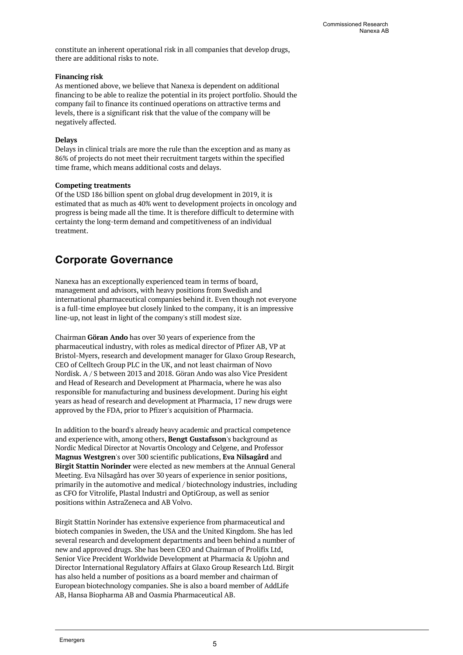constitute an inherent operational risk in all companies that develop drugs, there are additional risks to note.

#### **Financing risk**

As mentioned above, we believe that Nanexa is dependent on additional financing to be able to realize the potential in its project portfolio. Should the company fail to finance its continued operations on attractive terms and levels, there is a significant risk that the value of the company will be negatively affected.

#### **Delays**

Delays in clinical trials are more the rule than the exception and as many as 86% of projects do not meet their recruitment targets within the specified time frame, which means additional costs and delays.

#### **Competing treatments**

Of the USD 186 billion spent on global drug development in 2019, it is estimated that as much as 40% went to development projects in oncology and progress is being made all the time. It is therefore difficult to determine with certainty the long-term demand and competitiveness of an individual treatment.

# **Corporate Governance**

Nanexa has an exceptionally experienced team in terms of board, management and advisors, with heavy positions from Swedish and international pharmaceutical companies behind it. Even though not everyone is a full-time employee but closely linked to the company, it is an impressive line-up, not least in light of the company's still modest size.

Chairman **Göran Ando** has over 30 years of experience from the pharmaceutical industry, with roles as medical director of Pfizer AB, VP at Bristol-Myers, research and development manager for Glaxo Group Research, CEO of Celltech Group PLC in the UK, and not least chairman of Novo Nordisk. A / S between 2013 and 2018. Göran Ando was also Vice President and Head of Research and Development at Pharmacia, where he was also responsible for manufacturing and business development. During his eight years as head of research and development at Pharmacia, 17 new drugs were approved by the FDA, prior to Pfizer's acquisition of Pharmacia.

In addition to the board's already heavy academic and practical competence and experience with, among others, **Bengt Gustafsson**'s background as Nordic Medical Director at Novartis Oncology and Celgene, and Professor **Magnus Westgren**'s over 300 scientific publications, **Eva Nilsagård** and **Birgit Stattin Norinder** were elected as new members at the Annual General Meeting. Eva Nilsagård has over 30 years of experience in senior positions, primarily in the automotive and medical / biotechnology industries, including as CFO for Vitrolife, Plastal Industri and OptiGroup, as well as senior positions within AstraZeneca and AB Volvo.

Birgit Stattin Norinder has extensive experience from pharmaceutical and biotech companies in Sweden, the USA and the United Kingdom. She has led several research and development departments and been behind a number of new and approved drugs. She has been CEO and Chairman of Prolifix Ltd, Senior Vice Precident Worldwide Development at Pharmacia & Upjohn and Director International Regulatory Affairs at Glaxo Group Research Ltd. Birgit has also held a number of positions as a board member and chairman of European biotechnology companies. She is also a board member of AddLife AB, Hansa Biopharma AB and Oasmia Pharmaceutical AB.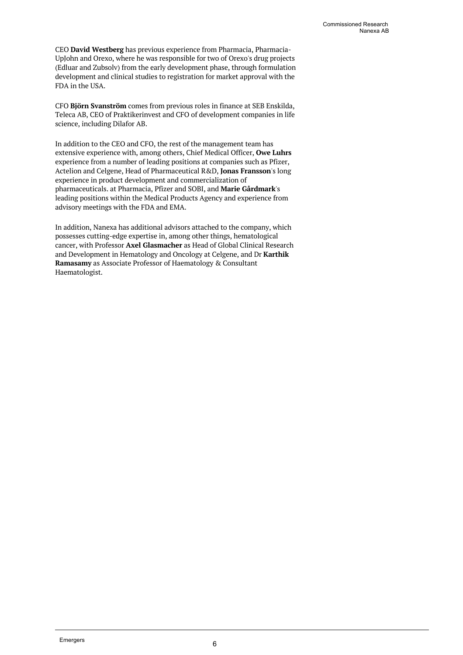CEO **David Westberg** has previous experience from Pharmacia, Pharmacia-UpJohn and Orexo, where he was responsible for two of Orexo's drug projects (Edluar and Zubsolv) from the early development phase, through formulation development and clinical studies to registration for market approval with the FDA in the USA.

CFO **Björn Svanström** comes from previous roles in finance at SEB Enskilda, Teleca AB, CEO of Praktikerinvest and CFO of development companies in life science, including Dilafor AB.

In addition to the CEO and CFO, the rest of the management team has extensive experience with, among others, Chief Medical Officer, **Owe Luhrs** experience from a number of leading positions at companies such as Pfizer, Actelion and Celgene, Head of Pharmaceutical R&D, **Jonas Fransson**'s long experience in product development and commercialization of pharmaceuticals. at Pharmacia, Pfizer and SOBI, and **Marie Gårdmark**'s leading positions within the Medical Products Agency and experience from advisory meetings with the FDA and EMA.

In addition, Nanexa has additional advisors attached to the company, which possesses cutting-edge expertise in, among other things, hematological cancer, with Professor **Axel Glasmacher** as Head of Global Clinical Research and Development in Hematology and Oncology at Celgene, and Dr **Karthik Ramasamy** as Associate Professor of Haematology & Consultant Haematologist.